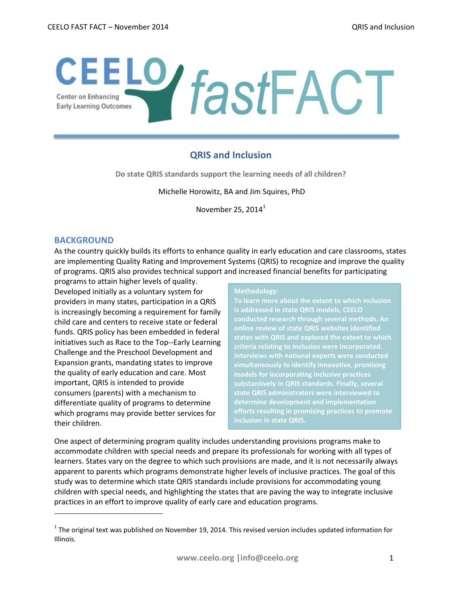# CEELO **fastFACT**

# **QRIS and Inclusion**

**Do state QRIS standards support the learning needs of all children?**

Michelle Horowitz, BA and Jim Squires, PhD

November 25, 20[1](#page-0-0)4 $^1$ 

# **BACKGROUND**

l

As the country quickly builds its efforts to enhance quality in early education and care classrooms, states are implementing Quality Rating and Improvement Systems (QRIS) to recognize and improve the quality of programs. QRIS also provides technical support and increased financial benefits for participating

programs to attain higher levels of quality. Developed initially as a voluntary system for providers in many states, participation in a QRIS is increasingly becoming a requirement for family child care and centers to receive state or federal funds. QRIS policy has been embedded in federal initiatives such as Race to the Top--Early Learning Challenge and the Preschool Development and Expansion grants, mandating states to improve the quality of early education and care. Most important, QRIS is intended to provide consumers (parents) with a mechanism to differentiate quality of programs to determine which programs may provide better services for their children.

#### **Methodology:**

**To learn more about the extent to which inclusion is addressed in state QRIS models, CEELO conducted research through several methods. An online review of state QRIS websites identified states with QRIS and explored the extent to which criteria relating to inclusion were incorporated. simultaneously to identify innovative, promising models for incorporating inclusive practices substantively in QRIS standards. Finally, several state QRIS administrators were interviewed to determine development and implementation efforts resulting in promising practices to promote inclusion in state QRIS.** 

One aspect of determining program quality includes understanding provisions programs make to accommodate children with special needs and prepare its professionals for working with all types of learners. States vary on the degree to which such provisions are made, and it is not necessarily always apparent to parents which programs demonstrate higher levels of inclusive practices. The goal of this study was to determine which state QRIS standards include provisions for accommodating young children with special needs, and highlighting the states that are paving the way to integrate inclusive practices in an effort to improve quality of early care and education programs.

<span id="page-0-0"></span> $1$  The original text was published on November 19, 2014. This revised version includes updated information for Illinois.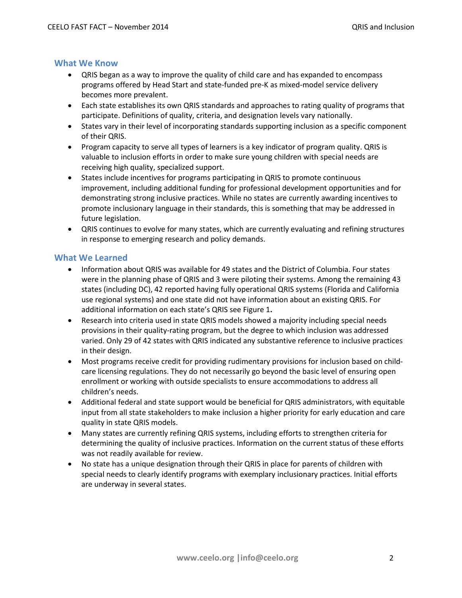# **What We Know**

- QRIS began as a way to improve the quality of child care and has expanded to encompass programs offered by Head Start and state-funded pre-K as mixed-model service delivery becomes more prevalent.
- Each state establishes its own QRIS standards and approaches to rating quality of programs that participate. Definitions of quality, criteria, and designation levels vary nationally.
- States vary in their level of incorporating standards supporting inclusion as a specific component of their QRIS.
- Program capacity to serve all types of learners is a key indicator of program quality. QRIS is valuable to inclusion efforts in order to make sure young children with special needs are receiving high quality, specialized support.
- States include incentives for programs participating in QRIS to promote continuous improvement, including additional funding for professional development opportunities and for demonstrating strong inclusive practices. While no states are currently awarding incentives to promote inclusionary language in their standards, this is something that may be addressed in future legislation.
- QRIS continues to evolve for many states, which are currently evaluating and refining structures in response to emerging research and policy demands.

# **What We Learned**

- Information about QRIS was available for 49 states and the District of Columbia. Four states were in the planning phase of QRIS and 3 were piloting their systems. Among the remaining 43 states (including DC), 42 reported having fully operational QRIS systems (Florida and California use regional systems) and one state did not have information about an existing QRIS. For additional information on each state's QRIS see Figure 1**.**
- Research into criteria used in state QRIS models showed a majority including special needs provisions in their quality-rating program, but the degree to which inclusion was addressed varied. Only 29 of 42 states with QRIS indicated any substantive reference to inclusive practices in their design.
- Most programs receive credit for providing rudimentary provisions for inclusion based on childcare licensing regulations. They do not necessarily go beyond the basic level of ensuring open enrollment or working with outside specialists to ensure accommodations to address all children's needs.
- Additional federal and state support would be beneficial for QRIS administrators, with equitable input from all state stakeholders to make inclusion a higher priority for early education and care quality in state QRIS models.
- Many states are currently refining QRIS systems, including efforts to strengthen criteria for determining the quality of inclusive practices. Information on the current status of these efforts was not readily available for review.
- No state has a unique designation through their QRIS in place for parents of children with special needs to clearly identify programs with exemplary inclusionary practices. Initial efforts are underway in several states.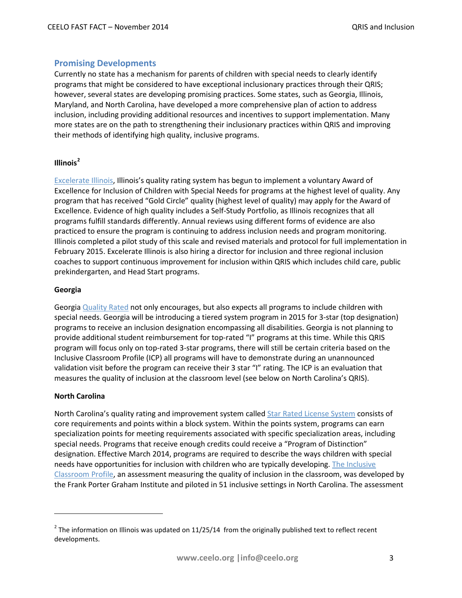# **Promising Developments**

Currently no state has a mechanism for parents of children with special needs to clearly identify programs that might be considered to have exceptional inclusionary practices through their QRIS; however, several states are developing promising practices. Some states, such as Georgia, Illinois, Maryland, and North Carolina, have developed a more comprehensive plan of action to address inclusion, including providing additional resources and incentives to support implementation. Many more states are on the path to strengthening their inclusionary practices within QRIS and improving their methods of identifying high quality, inclusive programs.

#### **Illinois[2](#page-2-0)**

[Excelerate Illinois,](http://www.excelerateillinoisparents.com/) Illinois's quality rating system has begun to implement a voluntary Award of Excellence for Inclusion of Children with Special Needs for programs at the highest level of quality. Any program that has received "Gold Circle" quality (highest level of quality) may apply for the Award of Excellence. Evidence of high quality includes a Self-Study Portfolio, as Illinois recognizes that all programs fulfill standards differently. Annual reviews using different forms of evidence are also practiced to ensure the program is continuing to address inclusion needs and program monitoring. Illinois completed a pilot study of this scale and revised materials and protocol for full implementation in February 2015. Excelerate Illinois is also hiring a director for inclusion and three regional inclusion coaches to support continuous improvement for inclusion within QRIS which includes child care, public prekindergarten, and Head Start programs.

#### **Georgia**

Georgia [Quality Rated](http://decal.ga.gov/QualityInitiatives/QualityRated.aspx) not only encourages, but also expects all programs to include children with special needs. Georgia will be introducing a tiered system program in 2015 for 3-star (top designation) programs to receive an inclusion designation encompassing all disabilities. Georgia is not planning to provide additional student reimbursement for top-rated "I" programs at this time. While this QRIS program will focus only on top-rated 3-star programs, there will still be certain criteria based on the Inclusive Classroom Profile (ICP) all programs will have to demonstrate during an unannounced validation visit before the program can receive their 3 star "I" rating. The ICP is an evaluation that measures the quality of inclusion at the classroom level (see below on North Carolina's QRIS).

#### **North Carolina**

l

North Carolina's quality rating and improvement system called [Star Rated License System](http://ncchildcare.dhhs.state.nc.us/parents/pr_sn2_ov_sr.asp) consists of core requirements and points within a block system. Within the points system, programs can earn specialization points for meeting requirements associated with specific specialization areas, including special needs. Programs that receive enough credits could receive a "Program of Distinction" designation. Effective March 2014, programs are required to describe the ways children with special needs have opportunities for inclusion with children who are typically developing. [The Inclusive](http://npdci.fpg.unc.edu/measuring-quality-inclusion-inclusive-classroom-profile)  [Classroom Profile,](http://npdci.fpg.unc.edu/measuring-quality-inclusion-inclusive-classroom-profile) an assessment measuring the quality of inclusion in the classroom, was developed by the Frank Porter Graham Institute and piloted in 51 inclusive settings in North Carolina. The assessment

<span id="page-2-0"></span> $2$  The information on Illinois was updated on 11/25/14 from the originally published text to reflect recent developments.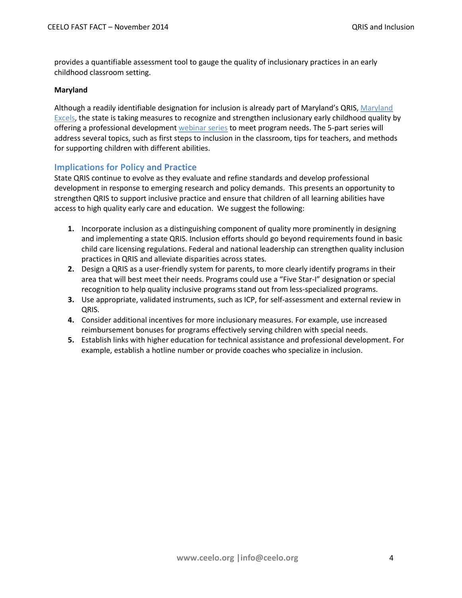provides a quantifiable assessment tool to gauge the quality of inclusionary practices in an early childhood classroom setting.

#### **Maryland**

Although a readily identifiable designation for inclusion is already part of Maryland's QRIS, Maryland [Excels,](http://marylandexcels.org/4562) the state is taking measures to recognize and strengthen inclusionary early childhood quality by offering a professional development [webinar series](http://www.mcie.org/events?utm_source=MDEXCELS+PARTICIPANTS&utm_campaign=be370eb6d8-Maryland_EXCELS_October_Newsletter&utm_medium=email&utm_term=0_2b1c0d9ca6-be370eb6d8-201206749) to meet program needs. The 5-part series will address several topics, such as first steps to inclusion in the classroom, tips for teachers, and methods for supporting children with different abilities.

# **Implications for Policy and Practice**

State QRIS continue to evolve as they evaluate and refine standards and develop professional development in response to emerging research and policy demands. This presents an opportunity to strengthen QRIS to support inclusive practice and ensure that children of all learning abilities have access to high quality early care and education. We suggest the following:

- **1.** Incorporate inclusion as a distinguishing component of quality more prominently in designing and implementing a state QRIS. Inclusion efforts should go beyond requirements found in basic child care licensing regulations. Federal and national leadership can strengthen quality inclusion practices in QRIS and alleviate disparities across states.
- **2.** Design a QRIS as a user-friendly system for parents, to more clearly identify programs in their area that will best meet their needs. Programs could use a "Five Star-I" designation or special recognition to help quality inclusive programs stand out from less-specialized programs.
- **3.** Use appropriate, validated instruments, such as ICP, for self-assessment and external review in QRIS.
- **4.** Consider additional incentives for more inclusionary measures. For example, use increased reimbursement bonuses for programs effectively serving children with special needs.
- **5.** Establish links with higher education for technical assistance and professional development. For example, establish a hotline number or provide coaches who specialize in inclusion.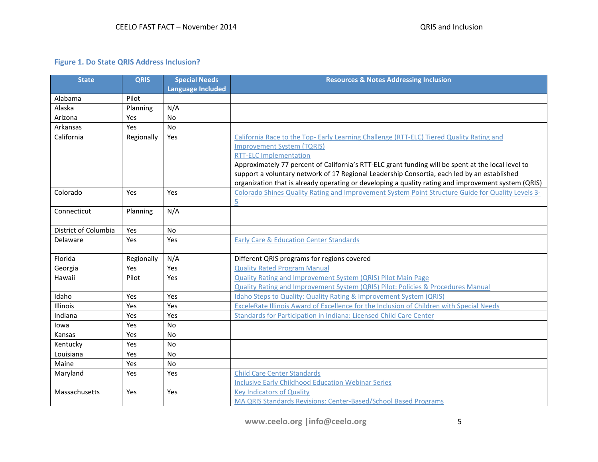# **Figure 1. Do State QRIS Address Inclusion?**

| <b>State</b>         | <b>QRIS</b> | <b>Special Needs</b>     | <b>Resources &amp; Notes Addressing Inclusion</b>                                                   |
|----------------------|-------------|--------------------------|-----------------------------------------------------------------------------------------------------|
|                      |             | <b>Language Included</b> |                                                                                                     |
| Alabama              | Pilot       |                          |                                                                                                     |
| Alaska               | Planning    | N/A                      |                                                                                                     |
| Arizona              | Yes         | No                       |                                                                                                     |
| Arkansas             | Yes         | No                       |                                                                                                     |
| California           | Regionally  | Yes                      | California Race to the Top-Early Learning Challenge (RTT-ELC) Tiered Quality Rating and             |
|                      |             |                          | <b>Improvement System (TQRIS)</b>                                                                   |
|                      |             |                          | <b>RTT-ELC Implementation</b>                                                                       |
|                      |             |                          | Approximately 77 percent of California's RTT-ELC grant funding will be spent at the local level to  |
|                      |             |                          | support a voluntary network of 17 Regional Leadership Consortia, each led by an established         |
|                      |             |                          | organization that is already operating or developing a quality rating and improvement system (QRIS) |
| Colorado             | Yes         | <b>Yes</b>               | Colorado Shines Quality Rating and Improvement System Point Structure Guide for Quality Levels 3-   |
|                      |             |                          | 5                                                                                                   |
| Connecticut          | Planning    | N/A                      |                                                                                                     |
|                      |             |                          |                                                                                                     |
| District of Columbia | Yes         | No                       |                                                                                                     |
| Delaware             | Yes         | Yes                      | <b>Early Care &amp; Education Center Standards</b>                                                  |
| Florida              | Regionally  | N/A                      | Different QRIS programs for regions covered                                                         |
| Georgia              | Yes         | Yes                      | <b>Quality Rated Program Manual</b>                                                                 |
| Hawaii               | Pilot       | Yes                      | <b>Quality Rating and Improvement System (QRIS) Pilot Main Page</b>                                 |
|                      |             |                          | Quality Rating and Improvement System (QRIS) Pilot: Policies & Procedures Manual                    |
| Idaho                | Yes         | Yes                      | Idaho Steps to Quality: Quality Rating & Improvement System (QRIS)                                  |
| Illinois             | Yes         | Yes                      | ExceleRate Illinois Award of Excellence for the Inclusion of Children with Special Needs            |
| Indiana              | Yes         | Yes                      | Standards for Participation in Indiana: Licensed Child Care Center                                  |
| lowa                 | Yes         | No                       |                                                                                                     |
| Kansas               | Yes         | No                       |                                                                                                     |
| Kentucky             | Yes         | <b>No</b>                |                                                                                                     |
| Louisiana            | Yes         | No                       |                                                                                                     |
| Maine                | Yes         | <b>No</b>                |                                                                                                     |
| Maryland             | Yes         | Yes                      | <b>Child Care Center Standards</b>                                                                  |
|                      |             |                          | <b>Inclusive Early Childhood Education Webinar Series</b>                                           |
| Massachusetts        | Yes         | Yes                      | <b>Key Indicators of Quality</b>                                                                    |
|                      |             |                          | MA QRIS Standards Revisions: Center-Based/School Based Programs                                     |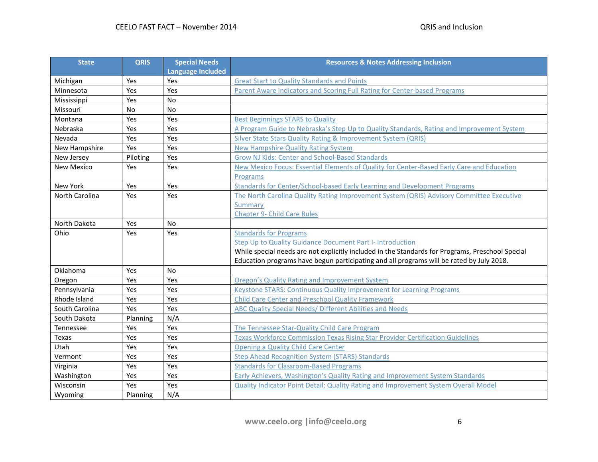| <b>State</b>      | <b>QRIS</b> | <b>Special Needs</b>     | <b>Resources &amp; Notes Addressing Inclusion</b>                                                |
|-------------------|-------------|--------------------------|--------------------------------------------------------------------------------------------------|
|                   |             | <b>Language Included</b> |                                                                                                  |
| Michigan          | Yes         | Yes                      | <b>Great Start to Quality Standards and Points</b>                                               |
| Minnesota         | Yes         | Yes                      | Parent Aware Indicators and Scoring Full Rating for Center-based Programs                        |
| Mississippi       | Yes         | <b>No</b>                |                                                                                                  |
| Missouri          | <b>No</b>   | <b>No</b>                |                                                                                                  |
| Montana           | Yes         | Yes                      | <b>Best Beginnings STARS to Quality</b>                                                          |
| Nebraska          | Yes         | Yes                      | A Program Guide to Nebraska's Step Up to Quality Standards, Rating and Improvement System        |
| Nevada            | Yes         | Yes                      | Silver State Stars Quality Rating & Improvement System (QRIS)                                    |
| New Hampshire     | Yes         | Yes                      | <b>New Hampshire Quality Rating System</b>                                                       |
| New Jersey        | Piloting    | Yes                      | <b>Grow NJ Kids: Center and School-Based Standards</b>                                           |
| <b>New Mexico</b> | Yes         | Yes                      | New Mexico Focus: Essential Elements of Quality for Center-Based Early Care and Education        |
|                   |             |                          | Programs                                                                                         |
| New York          | Yes         | Yes                      | Standards for Center/School-based Early Learning and Development Programs                        |
| North Carolina    | Yes         | Yes                      | The North Carolina Quality Rating Improvement System (QRIS) Advisory Committee Executive         |
|                   |             |                          | Summary                                                                                          |
|                   |             |                          | <b>Chapter 9- Child Care Rules</b>                                                               |
| North Dakota      | Yes         | <b>No</b>                |                                                                                                  |
| Ohio              | Yes         | Yes                      | <b>Standards for Programs</b>                                                                    |
|                   |             |                          | Step Up to Quality Guidance Document Part I- Introduction                                        |
|                   |             |                          | While special needs are not explicitly included in the Standards for Programs, Preschool Special |
|                   |             |                          | Education programs have begun participating and all programs will be rated by July 2018.         |
| Oklahoma          | Yes         | No.                      |                                                                                                  |
| Oregon            | Yes         | Yes                      | <b>Oregon's Quality Rating and Improvement System</b>                                            |
| Pennsylvania      | Yes         | Yes                      | <b>Keystone STARS: Continuous Quality Improvement for Learning Programs</b>                      |
| Rhode Island      | Yes         | Yes                      | <b>Child Care Center and Preschool Quality Framework</b>                                         |
| South Carolina    | Yes         | Yes                      | ABC Quality Special Needs/ Different Abilities and Needs                                         |
| South Dakota      | Planning    | N/A                      |                                                                                                  |
| Tennessee         | Yes         | Yes                      | The Tennessee Star-Quality Child Care Program                                                    |
| Texas             | Yes         | Yes                      | <b>Texas Workforce Commission Texas Rising Star Provider Certification Guidelines</b>            |
| Utah              | Yes         | Yes                      | <b>Opening a Quality Child Care Center</b>                                                       |
| Vermont           | Yes         | Yes                      | <b>Step Ahead Recognition System (STARS) Standards</b>                                           |
| Virginia          | Yes         | Yes                      | <b>Standards for Classroom-Based Programs</b>                                                    |
| Washington        | Yes         | Yes                      | Early Achievers, Washington's Quality Rating and Improvement System Standards                    |
| Wisconsin         | Yes         | Yes                      | <b>Quality Indicator Point Detail: Quality Rating and Improvement System Overall Model</b>       |
| Wyoming           | Planning    | N/A                      |                                                                                                  |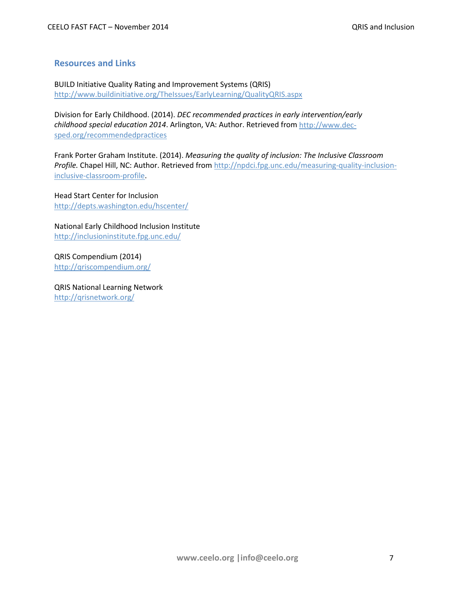# **Resources and Links**

BUILD Initiative Quality Rating and Improvement Systems (QRIS) <http://www.buildinitiative.org/TheIssues/EarlyLearning/QualityQRIS.aspx>

Division for Early Childhood. (2014). *DEC recommended practices in early intervention/early childhood special education 2014*. Arlington, VA: Author. Retrieved from [http://www.dec](http://www.dec-sped.org/recommendedpractices)[sped.org/recommendedpractices](http://www.dec-sped.org/recommendedpractices)

Frank Porter Graham Institute. (2014). *Measuring the quality of inclusion: The Inclusive Classroom Profile.* Chapel Hill, NC: Author. Retrieved fro[m http://npdci.fpg.unc.edu/measuring-quality-inclusion](http://npdci.fpg.unc.edu/measuring-quality-inclusion-inclusive-classroom-profile)[inclusive-classroom-profile.](http://npdci.fpg.unc.edu/measuring-quality-inclusion-inclusive-classroom-profile)

Head Start Center for Inclusion <http://depts.washington.edu/hscenter/>

National Early Childhood Inclusion Institute <http://inclusioninstitute.fpg.unc.edu/>

QRIS Compendium (2014) <http://qriscompendium.org/>

QRIS National Learning Network <http://qrisnetwork.org/>